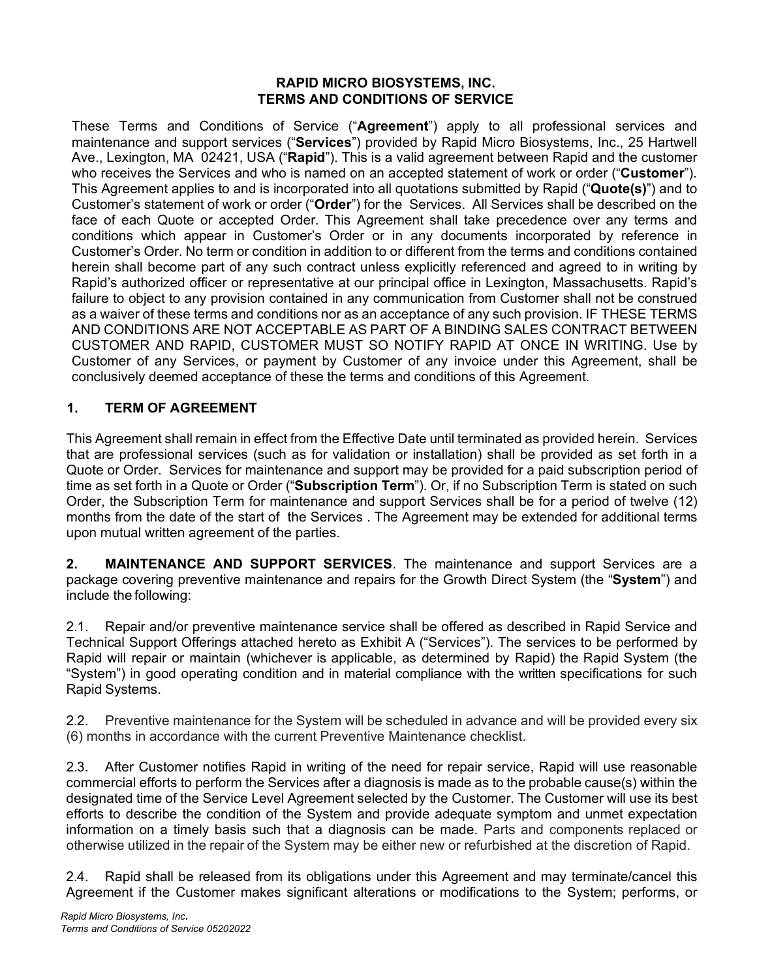#### **RAPID MICRO BIOSYSTEMS, INC. TERMS AND CONDITIONS OF SERVICE**

These Terms and Conditions of Service ("**Agreement**") apply to all professional services and maintenance and support services ("**Services**") provided by Rapid Micro Biosystems, Inc., 25 Hartwell Ave., Lexington, MA 02421, USA ("**Rapid**"). This is a valid agreement between Rapid and the customer who receives the Services and who is named on an accepted statement of work or order ("**Customer**"). This Agreement applies to and is incorporated into all quotations submitted by Rapid ("**Quote(s)**") and to Customer's statement of work or order ("**Order**") for the Services. All Services shall be described on the face of each Quote or accepted Order. This Agreement shall take precedence over any terms and conditions which appear in Customer's Order or in any documents incorporated by reference in Customer's Order. No term or condition in addition to or different from the terms and conditions contained herein shall become part of any such contract unless explicitly referenced and agreed to in writing by Rapid's authorized officer or representative at our principal office in Lexington, Massachusetts. Rapid's failure to object to any provision contained in any communication from Customer shall not be construed as a waiver of these terms and conditions nor as an acceptance of any such provision. IF THESE TERMS AND CONDITIONS ARE NOT ACCEPTABLE AS PART OF A BINDING SALES CONTRACT BETWEEN CUSTOMER AND RAPID, CUSTOMER MUST SO NOTIFY RAPID AT ONCE IN WRITING. Use by Customer of any Services, or payment by Customer of any invoice under this Agreement, shall be conclusively deemed acceptance of these the terms and conditions of this Agreement.

## **1. TERM OF AGREEMENT**

This Agreement shall remain in effect from the Effective Date until terminated as provided herein. Services that are professional services (such as for validation or installation) shall be provided as set forth in a Quote or Order. Services for maintenance and support may be provided for a paid subscription period of time as set forth in a Quote or Order ("**Subscription Term**"). Or, if no Subscription Term is stated on such Order, the Subscription Term for maintenance and support Services shall be for a period of twelve (12) months from the date of the start of the Services . The Agreement may be extended for additional terms upon mutual written agreement of the parties.

**2. MAINTENANCE AND SUPPORT SERVICES**. The maintenance and support Services are a package covering preventive maintenance and repairs for the Growth Direct System (the "**System**") and include the following:

2.1. Repair and/or preventive maintenance service shall be offered as described in Rapid Service and Technical Support Offerings attached hereto as Exhibit A ("Services"). The services to be performed by Rapid will repair or maintain (whichever is applicable, as determined by Rapid) the Rapid System (the "System") in good operating condition and in material compliance with the written specifications for such Rapid Systems.

2.2. Preventive maintenance for the System will be scheduled in advance and will be provided every six (6) months in accordance with the current Preventive Maintenance checklist.

2.3. After Customer notifies Rapid in writing of the need for repair service, Rapid will use reasonable commercial efforts to perform the Services after a diagnosis is made as to the probable cause(s) within the designated time of the Service Level Agreement selected by the Customer. The Customer will use its best efforts to describe the condition of the System and provide adequate symptom and unmet expectation information on a timely basis such that a diagnosis can be made. Parts and components replaced or otherwise utilized in the repair of the System may be either new or refurbished at the discretion of Rapid.

2.4. Rapid shall be released from its obligations under this Agreement and may terminate/cancel this Agreement if the Customer makes significant alterations or modifications to the System; performs, or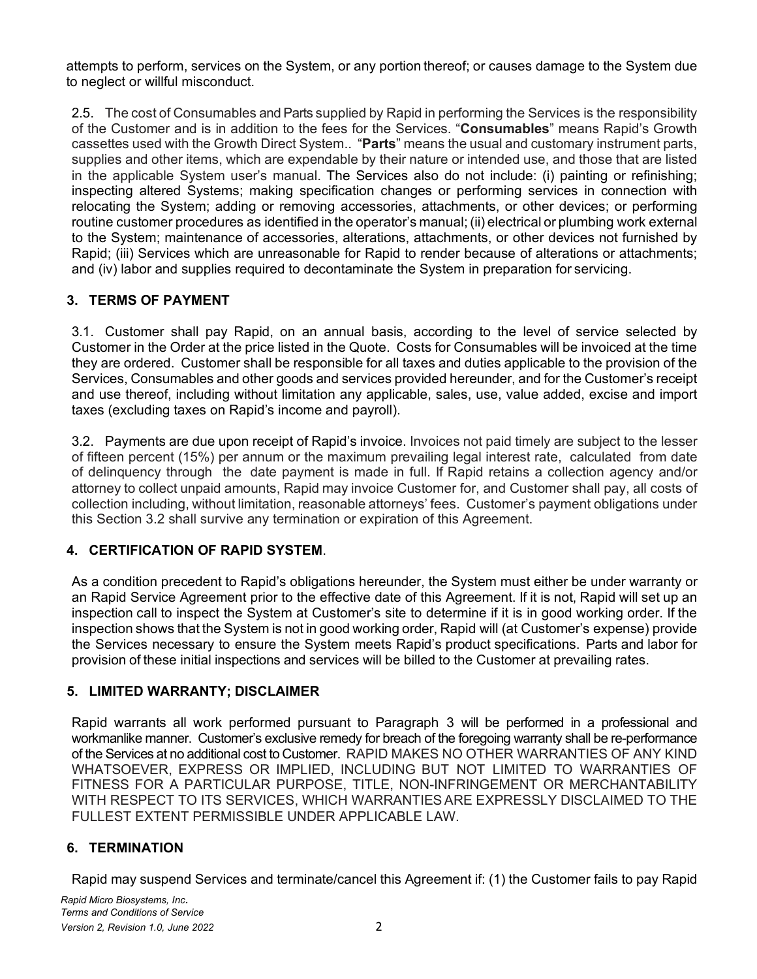attempts to perform, services on the System, or any portion thereof; or causes damage to the System due to neglect or willful misconduct.

2.5. The cost of Consumables and Parts supplied by Rapid in performing the Services is the responsibility of the Customer and is in addition to the fees for the Services. "**Consumables**" means Rapid's Growth cassettes used with the Growth Direct System.. "**Parts**" means the usual and customary instrument parts, supplies and other items, which are expendable by their nature or intended use, and those that are listed in the applicable System user's manual. The Services also do not include: (i) painting or refinishing; inspecting altered Systems; making specification changes or performing services in connection with relocating the System; adding or removing accessories, attachments, or other devices; or performing routine customer procedures as identified in the operator's manual; (ii) electrical or plumbing work external to the System; maintenance of accessories, alterations, attachments, or other devices not furnished by Rapid; (iii) Services which are unreasonable for Rapid to render because of alterations or attachments; and (iv) labor and supplies required to decontaminate the System in preparation for servicing.

## **3. TERMS OF PAYMENT**

3.1. Customer shall pay Rapid, on an annual basis, according to the level of service selected by Customer in the Order at the price listed in the Quote. Costs for Consumables will be invoiced at the time they are ordered. Customer shall be responsible for all taxes and duties applicable to the provision of the Services, Consumables and other goods and services provided hereunder, and for the Customer's receipt and use thereof, including without limitation any applicable, sales, use, value added, excise and import taxes (excluding taxes on Rapid's income and payroll).

3.2. Payments are due upon receipt of Rapid's invoice. Invoices not paid timely are subject to the lesser of fifteen percent (15%) per annum or the maximum prevailing legal interest rate, calculated from date of delinquency through the date payment is made in full. If Rapid retains a collection agency and/or attorney to collect unpaid amounts, Rapid may invoice Customer for, and Customer shall pay, all costs of collection including, without limitation, reasonable attorneys' fees. Customer's payment obligations under this Section 3.2 shall survive any termination or expiration of this Agreement.

## **4. CERTIFICATION OF RAPID SYSTEM**.

As a condition precedent to Rapid's obligations hereunder, the System must either be under warranty or an Rapid Service Agreement prior to the effective date of this Agreement. If it is not, Rapid will set up an inspection call to inspect the System at Customer's site to determine if it is in good working order. If the inspection shows that the System is not in good working order, Rapid will (at Customer's expense) provide the Services necessary to ensure the System meets Rapid's product specifications. Parts and labor for provision of these initial inspections and services will be billed to the Customer at prevailing rates.

## **5. LIMITED WARRANTY; DISCLAIMER**

Rapid warrants all work performed pursuant to Paragraph 3 will be performed in a professional and workmanlike manner. Customer's exclusive remedy for breach of the foregoing warranty shall be re-performance of the Services at no additional cost to Customer. RAPID MAKES NO OTHER WARRANTIES OF ANY KIND WHATSOEVER, EXPRESS OR IMPLIED, INCLUDING BUT NOT LIMITED TO WARRANTIES OF FITNESS FOR A PARTICULAR PURPOSE, TITLE, NON-INFRINGEMENT OR MERCHANTABILITY WITH RESPECT TO ITS SERVICES, WHICH WARRANTIESARE EXPRESSLY DISCLAIMED TO THE FULLEST EXTENT PERMISSIBLE UNDER APPLICABLE LAW.

## **6. TERMINATION**

Rapid may suspend Services and terminate/cancel this Agreement if: (1) the Customer fails to pay Rapid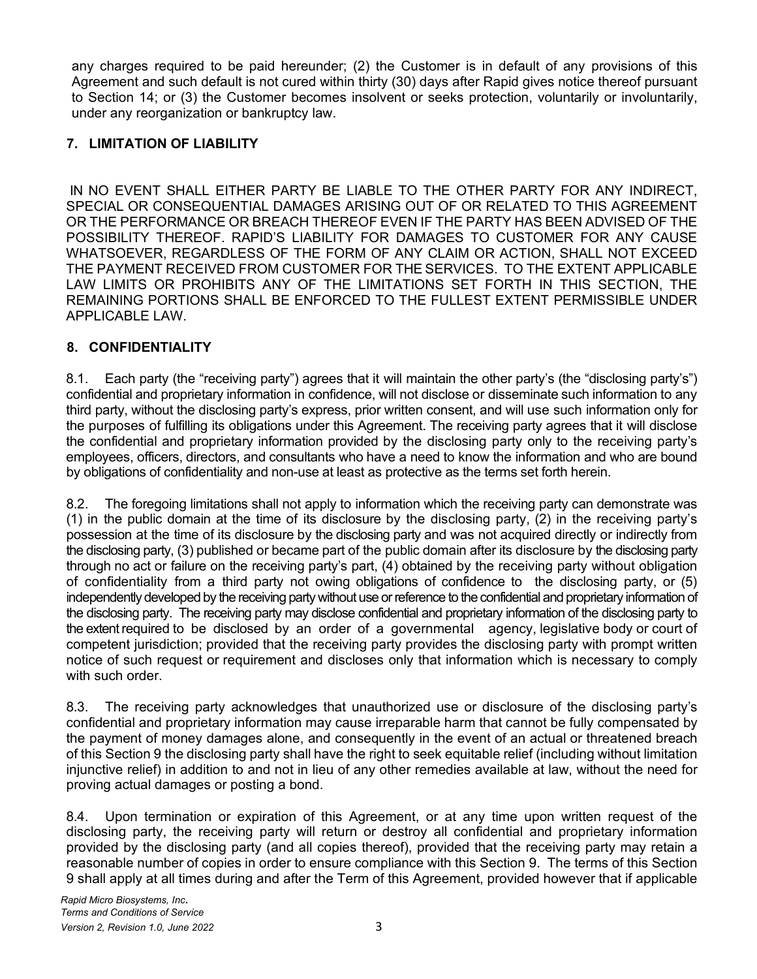any charges required to be paid hereunder; (2) the Customer is in default of any provisions of this Agreement and such default is not cured within thirty (30) days after Rapid gives notice thereof pursuant to Section 14; or (3) the Customer becomes insolvent or seeks protection, voluntarily or involuntarily, under any reorganization or bankruptcy law.

# **7. LIMITATION OF LIABILITY**

IN NO EVENT SHALL EITHER PARTY BE LIABLE TO THE OTHER PARTY FOR ANY INDIRECT, SPECIAL OR CONSEQUENTIAL DAMAGES ARISING OUT OF OR RELATED TO THIS AGREEMENT OR THE PERFORMANCE OR BREACH THEREOF EVEN IF THE PARTY HAS BEEN ADVISED OF THE POSSIBILITY THEREOF. RAPID'S LIABILITY FOR DAMAGES TO CUSTOMER FOR ANY CAUSE WHATSOEVER, REGARDLESS OF THE FORM OF ANY CLAIM OR ACTION, SHALL NOT EXCEED THE PAYMENT RECEIVED FROM CUSTOMER FOR THE SERVICES. TO THE EXTENT APPLICABLE LAW LIMITS OR PROHIBITS ANY OF THE LIMITATIONS SET FORTH IN THIS SECTION, THE REMAINING PORTIONS SHALL BE ENFORCED TO THE FULLEST EXTENT PERMISSIBLE UNDER APPLICABLE LAW.

## **8. CONFIDENTIALITY**

8.1. Each party (the "receiving party") agrees that it will maintain the other party's (the "disclosing party's") confidential and proprietary information in confidence, will not disclose or disseminate such information to any third party, without the disclosing party's express, prior written consent, and will use such information only for the purposes of fulfilling its obligations under this Agreement. The receiving party agrees that it will disclose the confidential and proprietary information provided by the disclosing party only to the receiving party's employees, officers, directors, and consultants who have a need to know the information and who are bound by obligations of confidentiality and non-use at least as protective as the terms set forth herein.

8.2. The foregoing limitations shall not apply to information which the receiving party can demonstrate was (1) in the public domain at the time of its disclosure by the disclosing party, (2) in the receiving party's possession at the time of its disclosure by the disclosing party and was not acquired directly or indirectly from the disclosing party, (3) published or became part of the public domain after its disclosure by the disclosing party through no act or failure on the receiving party's part, (4) obtained by the receiving party without obligation of confidentiality from a third party not owing obligations of confidence to the disclosing party, or (5) independently developed by the receiving party without use or reference to the confidential and proprietary information of the disclosing party. The receiving party may disclose confidential and proprietary information of the disclosing party to the extent required to be disclosed by an order of a governmental agency, legislative body or court of competent jurisdiction; provided that the receiving party provides the disclosing party with prompt written notice of such request or requirement and discloses only that information which is necessary to comply with such order.

8.3. The receiving party acknowledges that unauthorized use or disclosure of the disclosing party's confidential and proprietary information may cause irreparable harm that cannot be fully compensated by the payment of money damages alone, and consequently in the event of an actual or threatened breach of this Section 9 the disclosing party shall have the right to seek equitable relief (including without limitation injunctive relief) in addition to and not in lieu of any other remedies available at law, without the need for proving actual damages or posting a bond.

8.4. Upon termination or expiration of this Agreement, or at any time upon written request of the disclosing party, the receiving party will return or destroy all confidential and proprietary information provided by the disclosing party (and all copies thereof), provided that the receiving party may retain a reasonable number of copies in order to ensure compliance with this Section 9. The terms of this Section 9 shall apply at all times during and after the Term of this Agreement, provided however that if applicable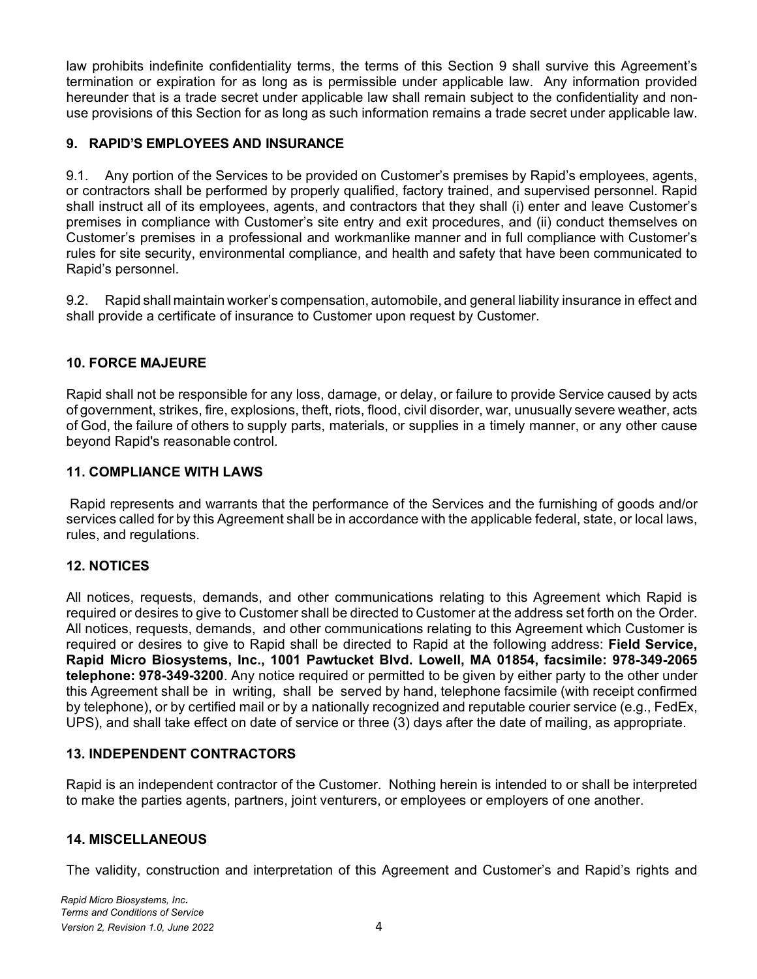law prohibits indefinite confidentiality terms, the terms of this Section 9 shall survive this Agreement's termination or expiration for as long as is permissible under applicable law. Any information provided hereunder that is a trade secret under applicable law shall remain subject to the confidentiality and nonuse provisions of this Section for as long as such information remains a trade secret under applicable law.

## **9. RAPID'S EMPLOYEES AND INSURANCE**

9.1. Any portion of the Services to be provided on Customer's premises by Rapid's employees, agents, or contractors shall be performed by properly qualified, factory trained, and supervised personnel. Rapid shall instruct all of its employees, agents, and contractors that they shall (i) enter and leave Customer's premises in compliance with Customer's site entry and exit procedures, and (ii) conduct themselves on Customer's premises in a professional and workmanlike manner and in full compliance with Customer's rules for site security, environmental compliance, and health and safety that have been communicated to Rapid's personnel.

9.2. Rapid shall maintain worker's compensation, automobile, and general liability insurance in effect and shall provide a certificate of insurance to Customer upon request by Customer.

## **10. FORCE MAJEURE**

Rapid shall not be responsible for any loss, damage, or delay, or failure to provide Service caused by acts of government, strikes, fire, explosions, theft, riots, flood, civil disorder, war, unusually severe weather, acts of God, the failure of others to supply parts, materials, or supplies in a timely manner, or any other cause beyond Rapid's reasonable control.

## **11. COMPLIANCE WITH LAWS**

Rapid represents and warrants that the performance of the Services and the furnishing of goods and/or services called for by this Agreement shall be in accordance with the applicable federal, state, or local laws, rules, and regulations.

## **12. NOTICES**

All notices, requests, demands, and other communications relating to this Agreement which Rapid is required or desires to give to Customer shall be directed to Customer at the address set forth on the Order. All notices, requests, demands, and other communications relating to this Agreement which Customer is required or desires to give to Rapid shall be directed to Rapid at the following address: **Field Service, Rapid Micro Biosystems, Inc., 1001 Pawtucket Blvd. Lowell, MA 01854, facsimile: 978-349-2065 telephone: 978-349-3200**. Any notice required or permitted to be given by either party to the other under this Agreement shall be in writing, shall be served by hand, telephone facsimile (with receipt confirmed by telephone), or by certified mail or by a nationally recognized and reputable courier service (e.g., FedEx, UPS), and shall take effect on date of service or three (3) days after the date of mailing, as appropriate.

## **13. INDEPENDENT CONTRACTORS**

Rapid is an independent contractor of the Customer. Nothing herein is intended to or shall be interpreted to make the parties agents, partners, joint venturers, or employees or employers of one another.

# **14. MISCELLANEOUS**

The validity, construction and interpretation of this Agreement and Customer's and Rapid's rights and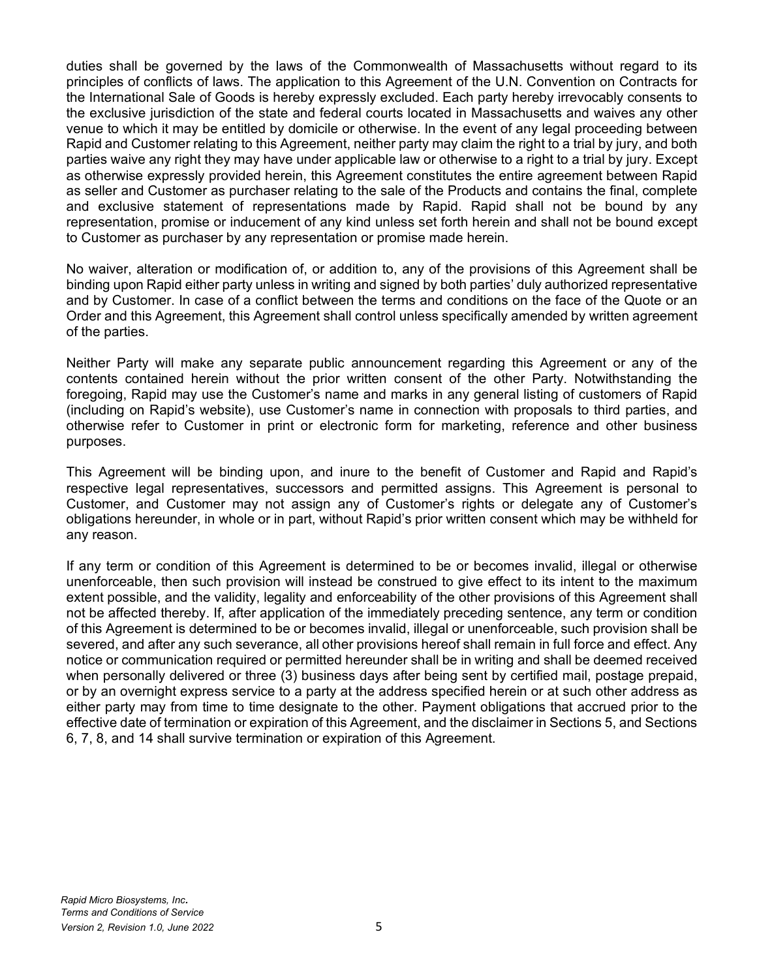duties shall be governed by the laws of the Commonwealth of Massachusetts without regard to its principles of conflicts of laws. The application to this Agreement of the U.N. Convention on Contracts for the International Sale of Goods is hereby expressly excluded. Each party hereby irrevocably consents to the exclusive jurisdiction of the state and federal courts located in Massachusetts and waives any other venue to which it may be entitled by domicile or otherwise. In the event of any legal proceeding between Rapid and Customer relating to this Agreement, neither party may claim the right to a trial by jury, and both parties waive any right they may have under applicable law or otherwise to a right to a trial by jury. Except as otherwise expressly provided herein, this Agreement constitutes the entire agreement between Rapid as seller and Customer as purchaser relating to the sale of the Products and contains the final, complete and exclusive statement of representations made by Rapid. Rapid shall not be bound by any representation, promise or inducement of any kind unless set forth herein and shall not be bound except to Customer as purchaser by any representation or promise made herein.

No waiver, alteration or modification of, or addition to, any of the provisions of this Agreement shall be binding upon Rapid either party unless in writing and signed by both parties' duly authorized representative and by Customer. In case of a conflict between the terms and conditions on the face of the Quote or an Order and this Agreement, this Agreement shall control unless specifically amended by written agreement of the parties.

Neither Party will make any separate public announcement regarding this Agreement or any of the contents contained herein without the prior written consent of the other Party. Notwithstanding the foregoing, Rapid may use the Customer's name and marks in any general listing of customers of Rapid (including on Rapid's website), use Customer's name in connection with proposals to third parties, and otherwise refer to Customer in print or electronic form for marketing, reference and other business purposes.

This Agreement will be binding upon, and inure to the benefit of Customer and Rapid and Rapid's respective legal representatives, successors and permitted assigns. This Agreement is personal to Customer, and Customer may not assign any of Customer's rights or delegate any of Customer's obligations hereunder, in whole or in part, without Rapid's prior written consent which may be withheld for any reason.

If any term or condition of this Agreement is determined to be or becomes invalid, illegal or otherwise unenforceable, then such provision will instead be construed to give effect to its intent to the maximum extent possible, and the validity, legality and enforceability of the other provisions of this Agreement shall not be affected thereby. If, after application of the immediately preceding sentence, any term or condition of this Agreement is determined to be or becomes invalid, illegal or unenforceable, such provision shall be severed, and after any such severance, all other provisions hereof shall remain in full force and effect. Any notice or communication required or permitted hereunder shall be in writing and shall be deemed received when personally delivered or three (3) business days after being sent by certified mail, postage prepaid, or by an overnight express service to a party at the address specified herein or at such other address as either party may from time to time designate to the other. Payment obligations that accrued prior to the effective date of termination or expiration of this Agreement, and the disclaimer in Sections 5, and Sections 6, 7, 8, and 14 shall survive termination or expiration of this Agreement.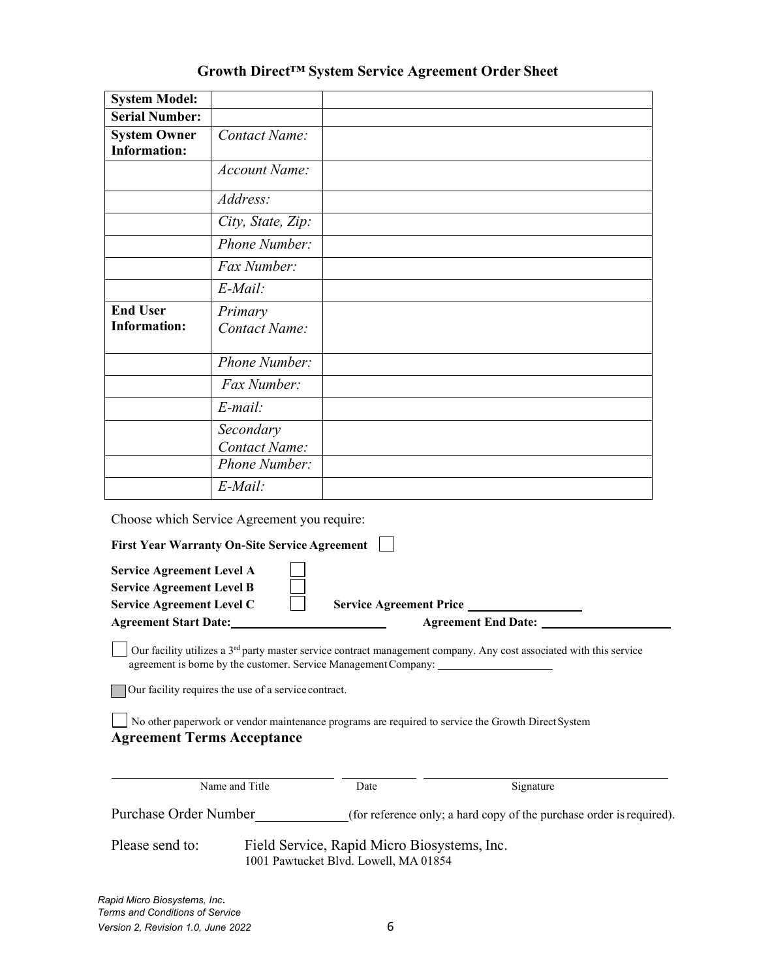# **Growth Direct™ System Service Agreement Order Sheet**

| <b>System Model:</b>                       |                            |  |
|--------------------------------------------|----------------------------|--|
| <b>Serial Number:</b>                      |                            |  |
| <b>System Owner</b><br><b>Information:</b> | Contact Name:              |  |
|                                            | <b>Account Name:</b>       |  |
|                                            | Address:                   |  |
|                                            | City, State, Zip:          |  |
|                                            | Phone Number:              |  |
|                                            | Fax Number:                |  |
|                                            | $E$ - <i>Mail</i> :        |  |
| <b>End User</b><br><b>Information:</b>     | Primary<br>Contact Name:   |  |
|                                            | <b>Phone Number:</b>       |  |
|                                            | Fax Number:                |  |
|                                            | $E$ -mail:                 |  |
|                                            | Secondary<br>Contact Name: |  |
|                                            | <b>Phone Number:</b>       |  |
|                                            | $E$ -Mail:                 |  |

Choose which Service Agreement you require:

| <b>First Year Warranty On-Site Service Agreement</b>                 |                                |  |
|----------------------------------------------------------------------|--------------------------------|--|
| <b>Service Agreement Level A</b><br><b>Service Agreement Level B</b> |                                |  |
| <b>Service Agreement Level C</b>                                     | <b>Service Agreement Price</b> |  |
| <b>Agreement Start Date:</b>                                         | <b>Agreement End Date:</b>     |  |
|                                                                      |                                |  |

Our facility utilizes a 3rd party master service contract management company. Any cost associated with this service agreement is borne by the customer. Service Management Company:

Our facility requires the use of a service contract.

No other paperwork or vendor maintenance programs are required to service the Growth DirectSystem **Agreement Terms Acceptance**

|                       | Name and Title | Date                                                                                 | Signature                                                            |
|-----------------------|----------------|--------------------------------------------------------------------------------------|----------------------------------------------------------------------|
| Purchase Order Number |                |                                                                                      | (for reference only; a hard copy of the purchase order is required). |
| Please send to:       |                | Field Service, Rapid Micro Biosystems, Inc.<br>1001 Pawtucket Blvd. Lowell, MA 01854 |                                                                      |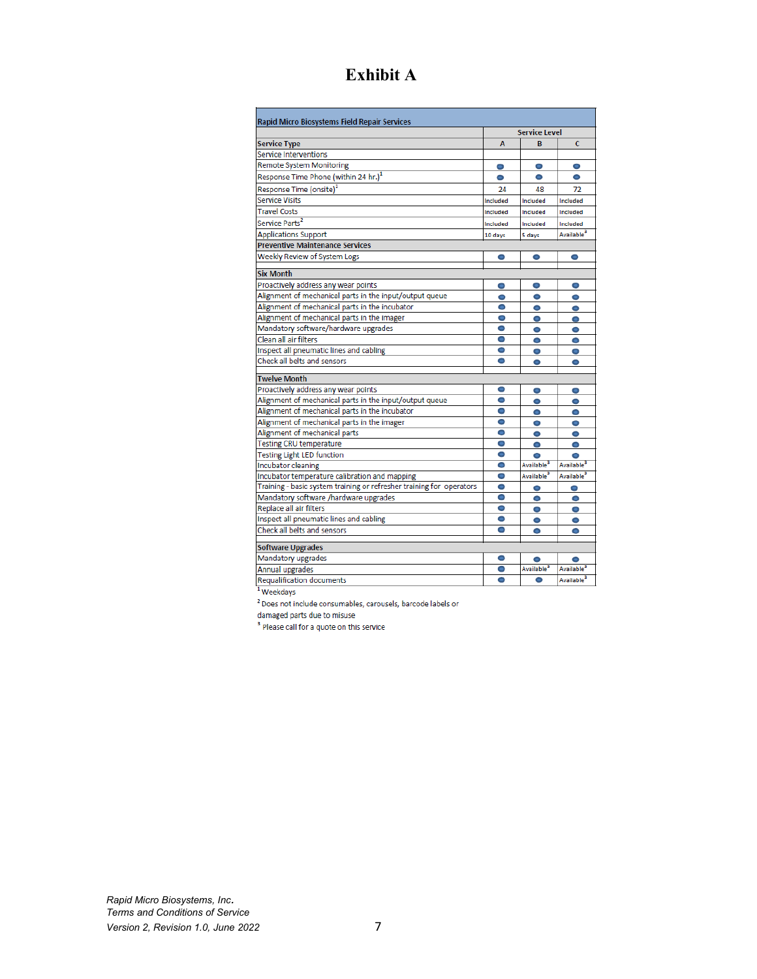# **Exhibit A**

|                                                                        |           | <b>Service Level</b>   |                        |
|------------------------------------------------------------------------|-----------|------------------------|------------------------|
| <b>Service Type</b>                                                    | A         | B                      | Ċ                      |
| Service Interventions                                                  |           |                        |                        |
| Remote System Monitoring                                               | 0         | 0                      | 0                      |
| Response Time Phone (within 24 hr.) <sup>1</sup>                       | 0         | 0                      | 0                      |
| Response Time (onsite) <sup>1</sup>                                    | 24        | 48                     | 72                     |
| <b>Service Visits</b>                                                  | Included  | Included               | Included               |
| <b>Travel Costs</b>                                                    | Included  | Included               | Included               |
| Service Parts <sup>2</sup>                                             | Included  | Included               | Included               |
| <b>Applications Support</b>                                            | 10 days   | 5 days                 | Available <sup>3</sup> |
| <b>Preventive Maintenance Services</b>                                 |           |                        |                        |
| Weekly Review of System Logs                                           | 0         | 0                      | $\bullet$              |
|                                                                        |           |                        |                        |
| <b>Six Month</b>                                                       |           |                        |                        |
| Proactively address any wear points                                    | 0         | 0                      | 0                      |
| Alignment of mechanical parts in the input/output queue                | $\bullet$ | $\bullet$              | $\bullet$              |
| Alignment of mechanical parts in the incubator                         |           | $\bullet$              | $\bullet$              |
| Alignment of mechanical parts in the imager                            | Ō         | 0                      |                        |
| Mandatory software/hardware upgrades                                   | Ó         | 0                      | $\bullet$              |
| Clean all air filters                                                  | $\bullet$ | 0                      | 0                      |
| Inspect all pneumatic lines and cabling<br>Check all belts and sensors | Ō<br>Ō    | 0                      | Ō                      |
|                                                                        |           | 0                      | $\bullet$              |
| <b>Twelve Month</b>                                                    |           |                        |                        |
| Proactively address any wear points                                    | 0         | 0                      |                        |
| Alignment of mechanical parts in the input/output queue                | 0         | $\bullet$              | $\bullet$              |
| Alignment of mechanical parts in the incubator                         | Θ         | $\bullet$              | 0                      |
| Alignment of mechanical parts in the imager                            | 0         | 0                      |                        |
| Alignment of mechanical parts                                          | 0         | ۰                      | 0                      |
| Testing CRU temperature                                                | 0         | 0                      | O                      |
| <b>Testing Light LED function</b>                                      | 0         |                        |                        |
| Incubator cleaning                                                     | 0         | Available <sup>3</sup> | Available <sup>3</sup> |
| Incubator temperature calibration and mapping                          | 0         | Available <sup>3</sup> | Available <sup>3</sup> |
| Training - basic system training or refresher training for operators   | 0         | ۰                      | $\bullet$              |
| Mandatory software /hardware upgrades                                  | 0         | $\bullet$              | $\bullet$              |
| Replace all air filters                                                | 0         | $\bullet$              | 0                      |
| Inspect all pneumatic lines and cabling                                | ۰         | 0                      | $\bullet$              |
| Check all belts and sensors                                            | $\bullet$ | $\bullet$              | 0                      |
| <b>Software Upgrades</b>                                               |           |                        |                        |
| Mandatory upgrades                                                     | 0         |                        |                        |
| Annual upgrades                                                        | 0         | Available <sup>3</sup> | Available <sup>3</sup> |
|                                                                        |           |                        | Available <sup>3</sup> |

**Weekdays** 

<sup>2</sup> Does not include consumables, carousels, barcode labels or

damaged parts due to misuse<br><sup>3</sup> Please call for a quote on this service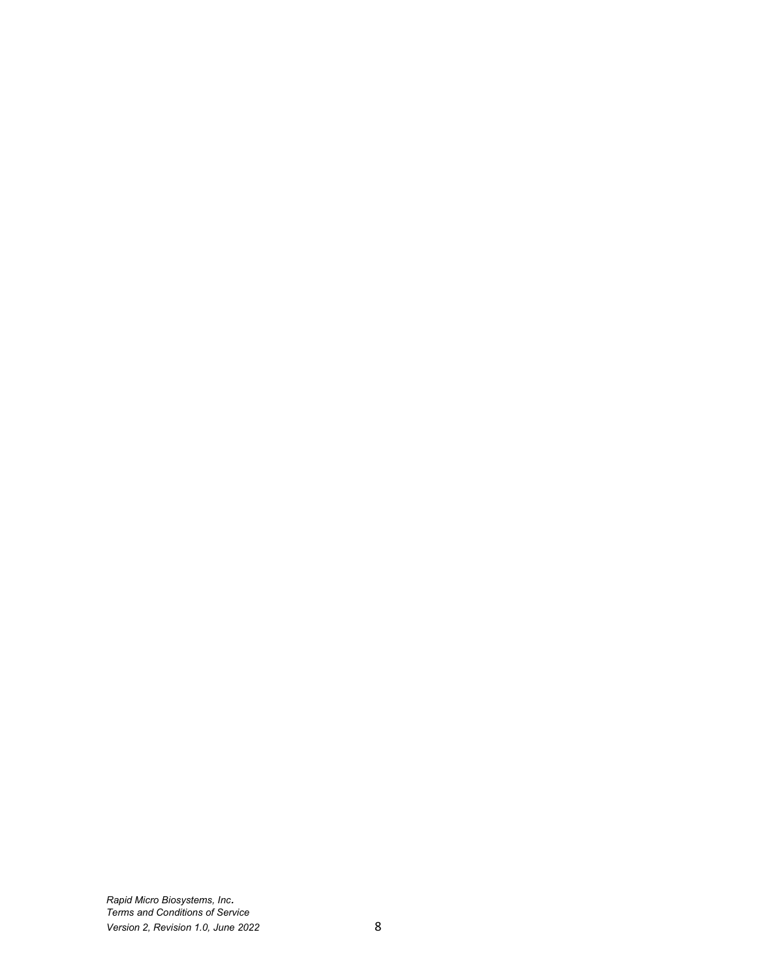*Rapid Micro Biosystems, Inc . Terms and Conditions of Service Version 2, Revision 1.0, June 2022*